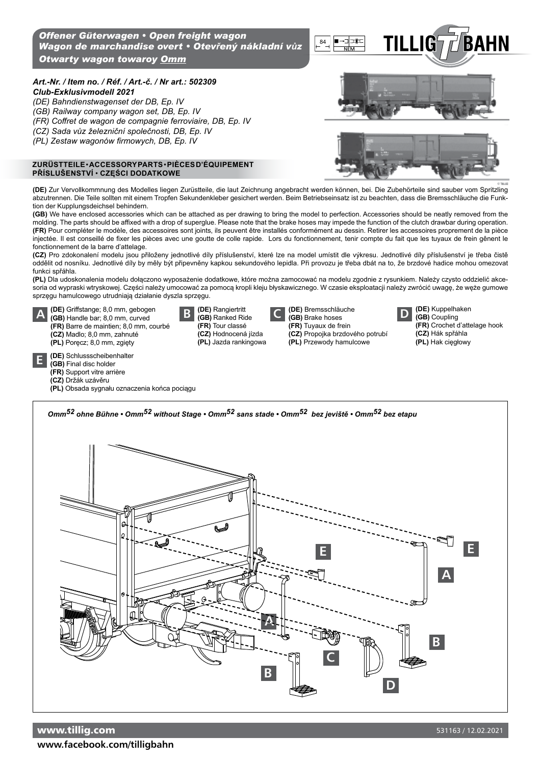## *Art.-Nr. / Item no. / Réf. / Art.-č. / Nr art.: 502309*

*Club-Exklusivmodell 2021*

- *(DE) Bahndienstwagenset der DB, Ep. IV*
- *(GB) Railway company wagon set, DB, Ep. IV*
- *(FR) Coffret de wagon de compagnie ferroviaire, DB, Ep. IV (CZ) Sada vůz železniční společnosti, DB, Ep. IV*
- 
- *(PL) Zestaw wagonów firmowych, DB, Ep. IV*

## **ZuRüsttEiLE** • **ACCEssoRy PARts** • **PiÈCEs D'ÉQuiPEMENt Příslušenství** • **CZĘŚCI DODAtKOWe**

**(DE)** Kuppelhaken **(GB)** Coupling

**(CZ)** Hák spřáhla **(PL)** Hak cięgłowy

**(FR)** Crochet d'attelage hook

**(DE)** Zur Vervollkommnung des Modelles liegen Zurüstteile, die laut Zeichnung angebracht werden können, bei. Die Zubehörteile sind sauber vom Spritzling abzutrennen. Die Teile sollten mit einem Tropfen Sekundenkleber gesichert werden. Beim Betriebseinsatz ist zu beachten, dass die Bremsschläuche die Funktion der Kupplungsdeichsel behindern.

**(GB)** We have enclosed accessories which can be attached as per drawing to bring the model to perfection. Accessories should be neatly removed from the molding. The parts should be affixed with a drop of superglue. Please note that the brake hoses may impede the function of the clutch drawbar during operation. **(FR)** Pour compléter le modèle, des accessoires sont joints, ils peuvent être installés conformément au dessin. Retirer les accessoires proprement de la pièce injectée. Il est conseillé de fixer les pièces avec une goutte de colle rapide. Lors du fonctionnement, tenir compte du fait que les tuyaux de frein gênent le fonctionnement de la barre d'attelage.

**(CZ)** Pro zdokonalení modelu jsou přiloženy jednotlivé díly příslušenství, které lze na model umístit dle výkresu. Jednotlivé díly příslušenství je třeba čistě oddělit od nosníku. Jednotlivé díly by měly být připevněny kapkou sekundového lepidla. Při provozu je třeba dbát na to, že brzdové hadice mohou omezovat funkci spřáhla.

**(PL)** Dla udoskonalenia modelu dołączono wyposażenie dodatkowe, które można zamocować na modelu zgodnie z rysunkiem. Należy czysto oddzielić akcesoria od wypraski wtryskowej. Części należy umocować za pomocą kropli kleju błyskawicznego. W czasie eksploatacji należy zwrócić uwagę, że węże gumowe sprzęgu hamulcowego utrudniają działanie dyszla sprzęgu.

**C D (GB)** Brake hoses

**(CZ)** Propojka brzdového potrubí **(PL)** Przewody hamulcowe

**(DE)** Bremsschläuche **(FR)** Tuyaux de frein

**A (DE)** Griffstange; 8,0 mm, gebogen **(GB)** Handle bar; 8,0 mm, curved **(FR)** Barre de maintien; 8,0 mm, courbé **(CZ)** Madlo; 8,0 mm, zahnuté **(PL)** Poręcz; 8,0 mm, zgięty **B (DE)** Rangiertritt **(GB)** Ranked Ride **(FR)** Tour classé **(CZ)** Hodnocená jízda **(PL)** Jazda rankingowa

|  |  | (BE) Cabluggaghaibanbalta |  |
|--|--|---------------------------|--|

**E (DE)** Schlussscheibenhalter

## **(GB)** Final disc holder **(FR)** Support vitre arrière

- **(CZ)** Držák uzávěru
- **(PL)** Obsada sygnału oznaczenia końca pociągu